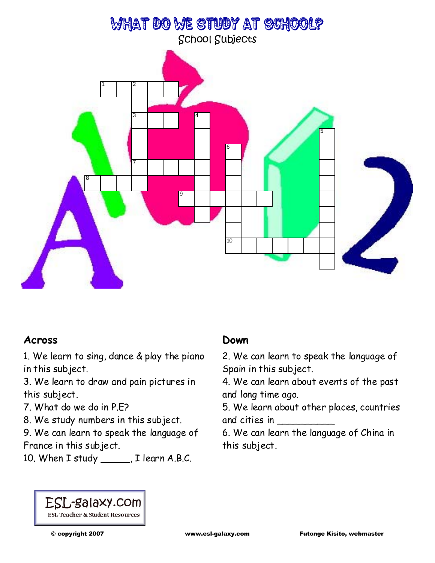

# **Across**

1. We learn to sing, dance & play the piano in this subject.

3. We learn to draw and pain pictures in this subject.

7. What do we do in P.E?

8. We study numbers in this subject.

9. We can learn to speak the language of France in this subject.

10. When I study \_\_\_\_\_, I learn A.B.C.

## **Down**

2. We can learn to speak the language of Spain in this subject.

4. We can learn about events of the past and long time ago.

5. We learn about other places, countries and cities in \_\_\_\_\_\_\_\_\_\_

6. We can learn the language of China in this subject.

### ESL-galaxy.com **ESL Teacher & Student Resources**